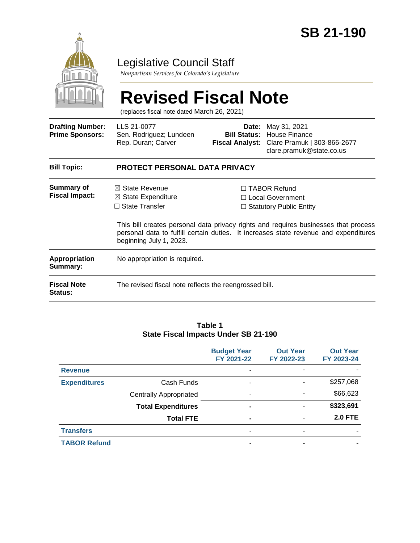

### Legislative Council Staff

*Nonpartisan Services for Colorado's Legislature*

# **Revised Fiscal Note**

(replaces fiscal note dated March 26, 2021)

| <b>Drafting Number:</b><br><b>Prime Sponsors:</b> | LLS 21-0077<br>Sen. Rodriguez; Lundeen<br>Rep. Duran; Carver                                                   | Date:<br><b>Bill Status:</b> | May 31, 2021<br>House Finance<br>Fiscal Analyst: Clare Pramuk   303-866-2677<br>clare.pramuk@state.co.us                                                                                                                                                        |  |
|---------------------------------------------------|----------------------------------------------------------------------------------------------------------------|------------------------------|-----------------------------------------------------------------------------------------------------------------------------------------------------------------------------------------------------------------------------------------------------------------|--|
| <b>Bill Topic:</b>                                | <b>PROTECT PERSONAL DATA PRIVACY</b>                                                                           |                              |                                                                                                                                                                                                                                                                 |  |
| Summary of<br><b>Fiscal Impact:</b>               | $\boxtimes$ State Revenue<br>$\boxtimes$ State Expenditure<br>$\Box$ State Transfer<br>beginning July 1, 2023. |                              | $\Box$ TABOR Refund<br>$\Box$ Local Government<br>$\Box$ Statutory Public Entity<br>This bill creates personal data privacy rights and requires businesses that process<br>personal data to fulfill certain duties. It increases state revenue and expenditures |  |
| Appropriation<br>Summary:                         | No appropriation is required.                                                                                  |                              |                                                                                                                                                                                                                                                                 |  |
| <b>Fiscal Note</b><br><b>Status:</b>              | The revised fiscal note reflects the reengrossed bill.                                                         |                              |                                                                                                                                                                                                                                                                 |  |

#### **Table 1 State Fiscal Impacts Under SB 21-190**

|                     |                               | <b>Budget Year</b><br>FY 2021-22 | <b>Out Year</b><br>FY 2022-23 | <b>Out Year</b><br>FY 2023-24 |
|---------------------|-------------------------------|----------------------------------|-------------------------------|-------------------------------|
| <b>Revenue</b>      |                               |                                  | ۰                             |                               |
| <b>Expenditures</b> | Cash Funds                    |                                  |                               | \$257,068                     |
|                     | <b>Centrally Appropriated</b> | ۰                                | ٠                             | \$66,623                      |
|                     | <b>Total Expenditures</b>     |                                  | ۰                             | \$323,691                     |
|                     | <b>Total FTE</b>              |                                  | ۰                             | <b>2.0 FTE</b>                |
| <b>Transfers</b>    |                               | ۰                                | ۰                             |                               |
| <b>TABOR Refund</b> |                               | ۰                                | ٠                             |                               |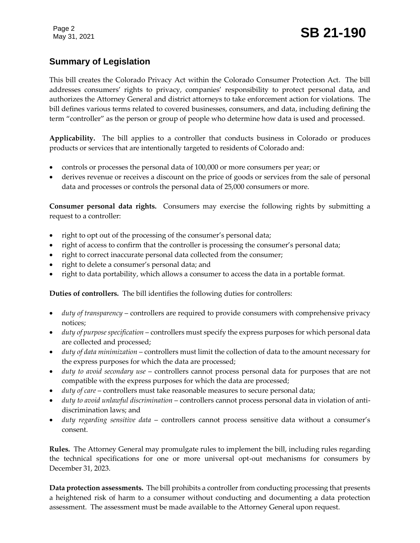Page 2

## Page 2<br>May 31, 2021 **SB 21-190**

#### **Summary of Legislation**

This bill creates the Colorado Privacy Act within the Colorado Consumer Protection Act. The bill addresses consumers' rights to privacy, companies' responsibility to protect personal data, and authorizes the Attorney General and district attorneys to take enforcement action for violations. The bill defines various terms related to covered businesses, consumers, and data, including defining the term "controller" as the person or group of people who determine how data is used and processed.

**Applicability.** The bill applies to a controller that conducts business in Colorado or produces products or services that are intentionally targeted to residents of Colorado and:

- controls or processes the personal data of 100,000 or more consumers per year; or
- derives revenue or receives a discount on the price of goods or services from the sale of personal data and processes or controls the personal data of 25,000 consumers or more.

**Consumer personal data rights.** Consumers may exercise the following rights by submitting a request to a controller:

- right to opt out of the processing of the consumer's personal data;
- right of access to confirm that the controller is processing the consumer's personal data;
- right to correct inaccurate personal data collected from the consumer;
- right to delete a consumer's personal data; and
- right to data portability, which allows a consumer to access the data in a portable format.

**Duties of controllers.** The bill identifies the following duties for controllers:

- *duty of transparency* controllers are required to provide consumers with comprehensive privacy notices;
- *duty of purpose specification* controllers must specify the express purposes for which personal data are collected and processed;
- *duty of data minimization* controllers must limit the collection of data to the amount necessary for the express purposes for which the data are processed;
- *duty to avoid secondary use* controllers cannot process personal data for purposes that are not compatible with the express purposes for which the data are processed;
- *duty of care* controllers must take reasonable measures to secure personal data;
- *duty to avoid unlawful discrimination* controllers cannot process personal data in violation of antidiscrimination laws; and
- *duty regarding sensitive data* controllers cannot process sensitive data without a consumer's consent.

**Rules.** The Attorney General may promulgate rules to implement the bill, including rules regarding the technical specifications for one or more universal opt-out mechanisms for consumers by December 31, 2023.

**Data protection assessments.** The bill prohibits a controller from conducting processing that presents a heightened risk of harm to a consumer without conducting and documenting a data protection assessment. The assessment must be made available to the Attorney General upon request.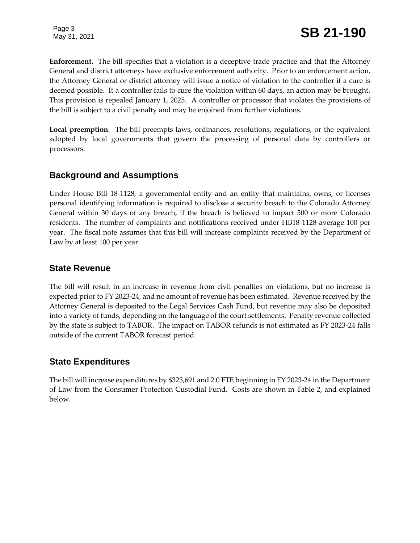Page 3

**Enforcement.** The bill specifies that a violation is a deceptive trade practice and that the Attorney General and district attorneys have exclusive enforcement authority. Prior to an enforcement action, the Attorney General or district attorney will issue a notice of violation to the controller if a cure is deemed possible. It a controller fails to cure the violation within 60 days, an action may be brought. This provision is repealed January 1, 2025. A controller or processor that violates the provisions of the bill is subject to a civil penalty and may be enjoined from further violations.

**Local preemption**. The bill preempts laws, ordinances, resolutions, regulations, or the equivalent adopted by local governments that govern the processing of personal data by controllers or processors.

#### **Background and Assumptions**

Under House Bill 18-1128, a governmental entity and an entity that maintains, owns, or licenses personal identifying information is required to disclose a security breach to the Colorado Attorney General within 30 days of any breach, if the breach is believed to impact 500 or more Colorado residents. The number of complaints and notifications received under HB18-1128 average 100 per year. The fiscal note assumes that this bill will increase complaints received by the Department of Law by at least 100 per year.

#### **State Revenue**

The bill will result in an increase in revenue from civil penalties on violations, but no increase is expected prior to FY 2023-24, and no amount of revenue has been estimated. Revenue received by the Attorney General is deposited to the Legal Services Cash Fund, but revenue may also be deposited into a variety of funds, depending on the language of the court settlements. Penalty revenue collected by the state is subject to TABOR. The impact on TABOR refunds is not estimated as FY 2023-24 falls outside of the current TABOR forecast period.

#### **State Expenditures**

The bill will increase expenditures by \$323,691 and 2.0 FTE beginning in FY 2023-24 in the Department of Law from the Consumer Protection Custodial Fund. Costs are shown in Table 2, and explained below.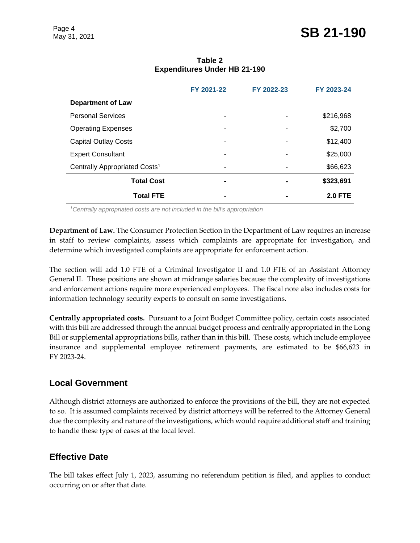|                                           | FY 2021-22 | FY 2022-23 | FY 2023-24     |
|-------------------------------------------|------------|------------|----------------|
| <b>Department of Law</b>                  |            |            |                |
| <b>Personal Services</b>                  |            |            | \$216,968      |
| <b>Operating Expenses</b>                 |            |            | \$2,700        |
| <b>Capital Outlay Costs</b>               |            |            | \$12,400       |
| <b>Expert Consultant</b>                  |            |            | \$25,000       |
| Centrally Appropriated Costs <sup>1</sup> |            |            | \$66,623       |
| <b>Total Cost</b>                         | -          |            | \$323,691      |
| <b>Total FTE</b>                          | -          |            | <b>2.0 FTE</b> |

**Table 2 Expenditures Under HB 21-190**

*<sup>1</sup>Centrally appropriated costs are not included in the bill's appropriation*

**Department of Law.** The Consumer Protection Section in the Department of Law requires an increase in staff to review complaints, assess which complaints are appropriate for investigation, and determine which investigated complaints are appropriate for enforcement action.

The section will add 1.0 FTE of a Criminal Investigator II and 1.0 FTE of an Assistant Attorney General II. These positions are shown at midrange salaries because the complexity of investigations and enforcement actions require more experienced employees. The fiscal note also includes costs for information technology security experts to consult on some investigations.

**Centrally appropriated costs.** Pursuant to a Joint Budget Committee policy, certain costs associated with this bill are addressed through the annual budget process and centrally appropriated in the Long Bill or supplemental appropriations bills, rather than in this bill. These costs, which include employee insurance and supplemental employee retirement payments, are estimated to be \$66,623 in FY 2023-24.

#### **Local Government**

Although district attorneys are authorized to enforce the provisions of the bill, they are not expected to so. It is assumed complaints received by district attorneys will be referred to the Attorney General due the complexity and nature of the investigations, which would require additional staff and training to handle these type of cases at the local level.

#### **Effective Date**

The bill takes effect July 1, 2023, assuming no referendum petition is filed, and applies to conduct occurring on or after that date.